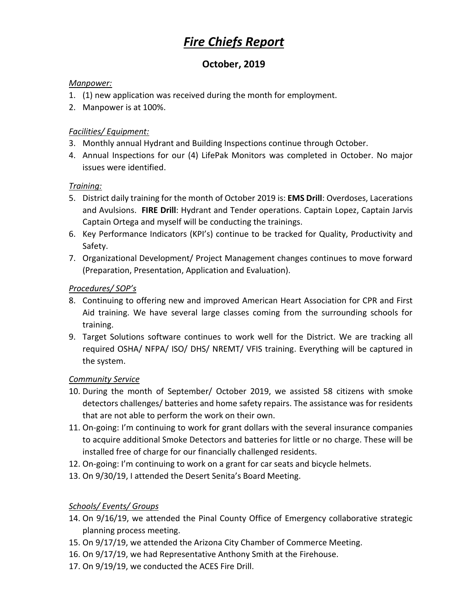# *Fire Chiefs Report*

## **October, 2019**

#### *Manpower:*

- 1. (1) new application was received during the month for employment.
- 2. Manpower is at 100%.

#### *Facilities/ Equipment:*

- 3. Monthly annual Hydrant and Building Inspections continue through October.
- 4. Annual Inspections for our (4) LifePak Monitors was completed in October. No major issues were identified.

#### *Training:*

- 5. District daily training for the month of October 2019 is: **EMS Drill**: Overdoses, Lacerations and Avulsions. **FIRE Drill**: Hydrant and Tender operations. Captain Lopez, Captain Jarvis Captain Ortega and myself will be conducting the trainings.
- 6. Key Performance Indicators (KPI's) continue to be tracked for Quality, Productivity and Safety.
- 7. Organizational Development/ Project Management changes continues to move forward (Preparation, Presentation, Application and Evaluation).

#### *Procedures/ SOP's*

- 8. Continuing to offering new and improved American Heart Association for CPR and First Aid training. We have several large classes coming from the surrounding schools for training.
- 9. Target Solutions software continues to work well for the District. We are tracking all required OSHA/ NFPA/ ISO/ DHS/ NREMT/ VFIS training. Everything will be captured in the system.

#### *Community Service*

- 10. During the month of September/ October 2019, we assisted 58 citizens with smoke detectors challenges/ batteries and home safety repairs. The assistance was for residents that are not able to perform the work on their own.
- 11. On-going: I'm continuing to work for grant dollars with the several insurance companies to acquire additional Smoke Detectors and batteries for little or no charge. These will be installed free of charge for our financially challenged residents.
- 12. On-going: I'm continuing to work on a grant for car seats and bicycle helmets.
- 13. On 9/30/19, I attended the Desert Senita's Board Meeting.

### *Schools/ Events/ Groups*

- 14. On 9/16/19, we attended the Pinal County Office of Emergency collaborative strategic planning process meeting.
- 15. On 9/17/19, we attended the Arizona City Chamber of Commerce Meeting.
- 16. On 9/17/19, we had Representative Anthony Smith at the Firehouse.
- 17. On 9/19/19, we conducted the ACES Fire Drill.